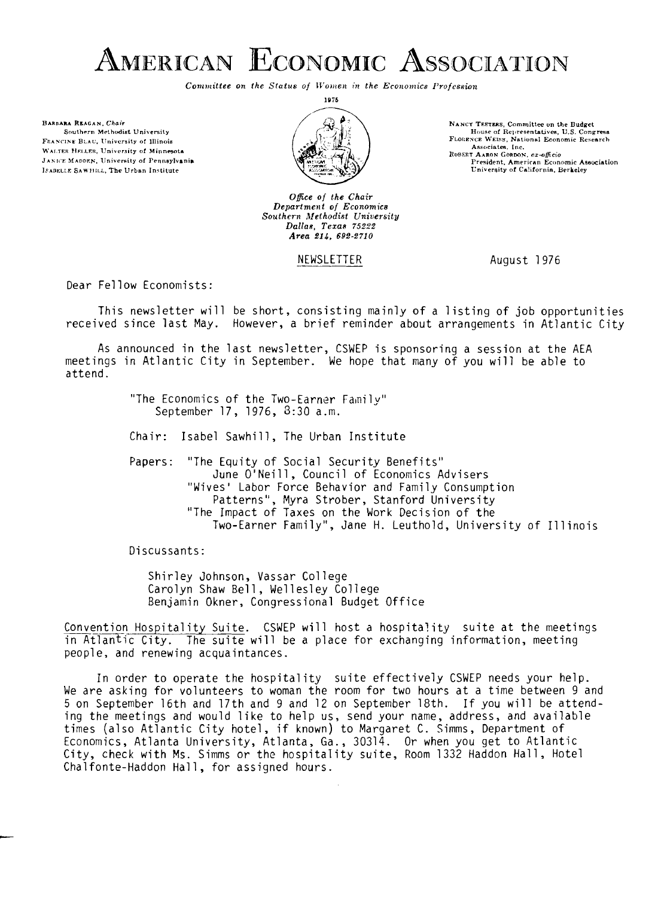

*Committee on the Status of Women in the Economics Profession* 

BARDARA REAGAN, Chair Southern Methodist University FRANCINE BLAU, University of Illinois WALTER HELLER, University of Minnesota **JANICE MADDEN.** University of Pennsylvania ISABELLE SAWHILL, The Urban Institute



*Ofice of the Chair Department of Economics Southern Mefhodist Uniuersity Dallas, Tezas 75322 Area 614, 692-2710* 

#### NEWSLETTER August 1976

NANCY TEETERS, Committee on the Budget House of Representatives, U.S. Congress.<br> **FLOREXCE WEISS, National Economic Research**<br> **Associates.** Inc. **RuBaET AARON GaRoor, ar+ficio** 

**P rprident. Arnrriran Economic Association University of Ca!~fornia. Berkeley** 

Dear Fellow Economists:

This newsletter will be short, consisting mainly of a listinq of job opportunities received since last May. However, a brief reminder about arrangements in Atlantic City

As announced in the last newsletter, CSWEP is sponsoring a session at the AEA meetings in Atlantic City in September. We hope that many of you will be able to attend.

> "The Economics of the Two-Earner family" September 17, 1976, 3:30 a.m.

Chair: Isabel Sawhill, The Urban Institute

Papers: "The Equity of Social Security Benefits" June O'Neill, Council of Economics Advisers "Wives' Labor Force Behavior and Family Consumption Patterns", Myra Strober, Stanford University "The Impact of Taxes on the Work Decision of the Two-Earner Family", Jane H. Leuthold, University of Illinois

Discussants:

Shirley Johnson, Vassar College Carolyn Shaw Bell, Wellesley College Benjamin Okner, Congressional Budget Office

Convention Hospitality Suite. CSWEP will host a hospitality suite at the meetings in Atlantic City. The suite will be a place for exchanging information, meeting people, and renewing acquaintances.

In order to operate the hospitality suite effectively CSWEP needs your help. We are asking for volunteers to woman the room for two hours at a time between 9 and 5 on September 16th and 17th and 9 and 12 on September 18th. If you will be attending the meetings and would like to help us, send your name, address, and available times (also Atlantic City hotel, if known) to Margaret C. Simms, Department of Economics, Atlanta University, Atlanta, Ga., 30314. Or when you get to Atlantic City, check with Ms. Simms or the hospitality suite, Room 1332 Haddon Hall, Hotel Chalfonte-Haddon Hall, for assigned hours.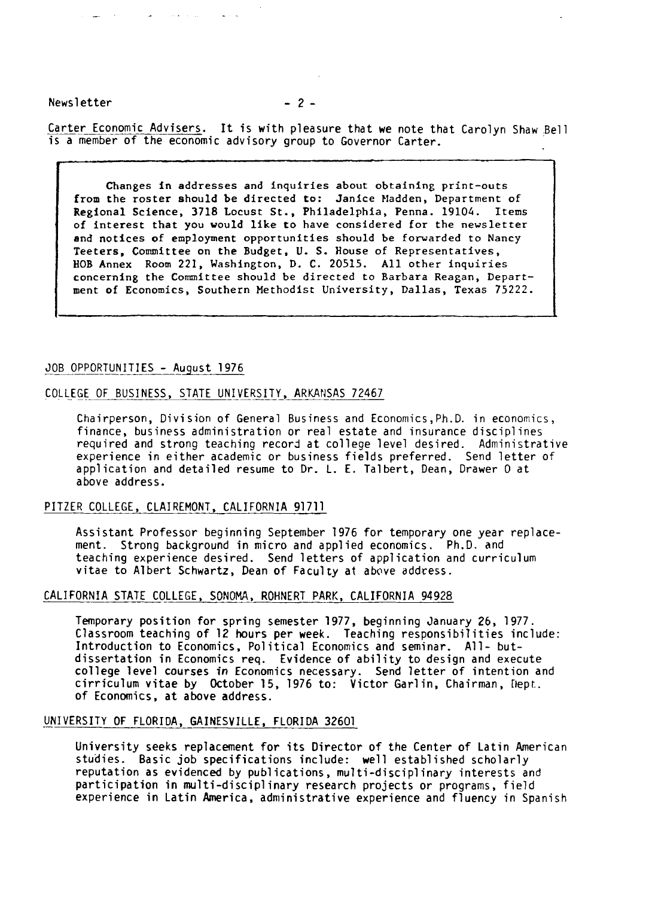Newsletter  $-2-$ 

Carter Economic Advisers. It is with pleasure that we note that Carolyn Shaw Bell is a member of the economic advisory group to Governor Carter.

Changes in addresses and inquiries about obtaining print-outs from the roster should be directed to: Janice Madden, Department of Regional Science, 3718 Locust St., Philadelphia, Penna. 19104. Items of interest that you vould like to have considered for the newsletter and notices of employment opportunities should be forwarded to Nancy Teeters, Committee on the Budget, U. S. House of Representatives, BOB Annex Room 221, Washington, D. C. 20515. All other inquiries concerning the Committee should be directed to Barbara Reagan, Department of Economics, Southern Methodist University, Dallas, Texas 75222.

#### JOB OPPORTUNITIES - August 1976

# OOB OPPORTUNITIES - August 1976<br>COLLEGE OF BUSINESS, STATE UNIVERSITY, ARKANSAS 72467<br>Chairperson. Division of General Business and Eco

Chairperson, Division of General Business and Economics,Ph.D. in economics, finance, business administration or real estate and insurance disciplines required and strong teaching record at college level desired. Administrative experience in either academic or business fields preferred. Send letter of application and detailed resume to Dr. L. E. Talbert, Dean, Drawer 0 at above address.

#### PITZER COLLEGE, CLAIREMONT, CALIFORNIA 91711

Assistant Professor beginning September 1976 for temporary one year replacement. Strong background in micro and applied economics. Ph.D. and teaching experience desired. Send letters of application and curriculum vitae to Albert Schwartz, Dean of Faculty at above address.

#### CALIFORNIA STATE COLLEGE, SONOMA, ROHNERT PARK, CALIFORNIA 94928

Temporary position for spring semester 1977, beginning January 26, 1977. Classroom teaching of 12 hours per week. Teaching responsibilities include: Introduction to Economics, Political Economics and seminar. All- butdissertation in Economics req. Evidence of ability to design and execute college level courses **in** Economics necessary. Send letter of intention and cirriculum vitae by October 15, 1976 to: Victor Garlin, Chairman, Nept. of Economics, at above address.

#### UNIVERSITY OF FLORIDA, GAINESVILLE, FLORIDA 32601

University seeks replacement for its Director of the Center of Latin American studies. Basic job specifications include: well established scholarly reputation as evidenced by publications, multi-disciplinary interests and participation in multi-disciplinary research projects or programs, field experience in Latin America, administrative experience and fluency in Spanish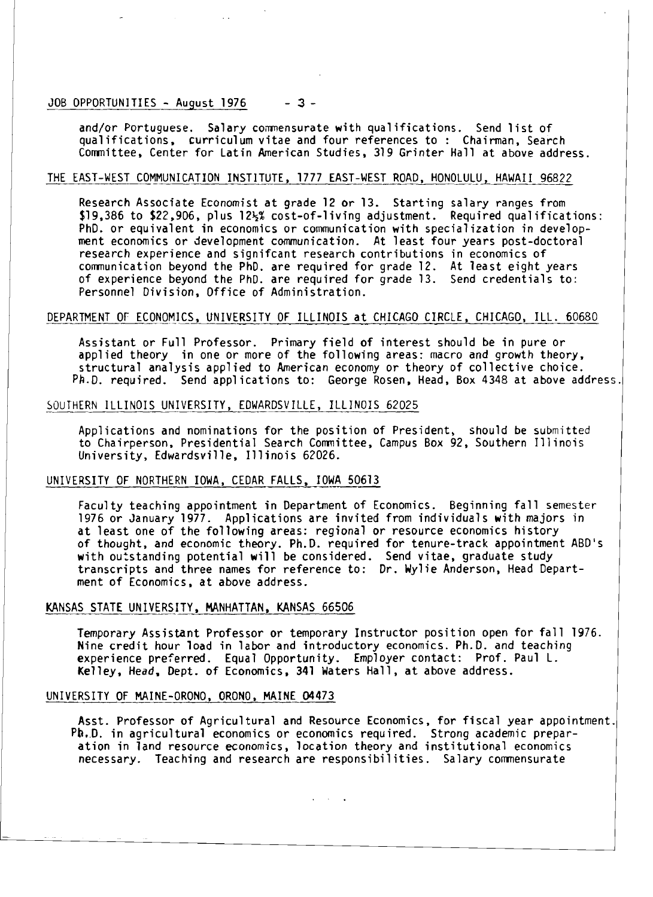#### JOB OPPORTUNlTIES - August 1976 **-3-**

and/or Portuguese. Salary comensurate with qualifications. Send list of qual ifications, curricul um vitae and four references to : Chairman, Search Comnittee, Center for Latin American Studies, 319 Grinter Hall at above address.

#### THE EAST-WEST COMMUNICATION INSTITUTE, 1777 EAST-WEST ROAD, HONOLULU, HAWAII 96822

Research Associate Economist at grade 12 or 13. Starting salary ranges from \$19,386 to \$22,906, plus 12½% cost-of-living adjustment. Required qualifications: PhD. or equivalent in economics or communication with specialization in development economics or development communication. At least four years post-doctoral research experience and signifcant research contributions in economics of comnunication beyond the PhD. are required for grade 12. At least eight years of experience beyond the PhD. are required for grade 13. Send credentials to: Personnel Division, Office of Administration.

#### DEPARTMENT OF ECONOMICS, UNIVERSITY OF ILLINOIS at CHICAGO CIRCLE, CHICAGO, ILL. 60680

Assistant or Full Professor. Primary field of interest should be in pure or applied theory in one or more of the following areas: macro and growth theory, structural analysis applied to American economy or theory of collective choice. Pb.0. required. Send appl ications to: George Rosen, Head, Box 4348 at above address.

#### SOUTHERN ILLINOIS UNIVERSITY, EDWARDSVILLE, ILLINOIS 62025

Applications and nominations for the position of President, should be submitted to Chairperson. Presidential Search Cormittee, Campus Box 92, Southern Illinois University, Edwardsville, Illinois 62026.

#### UNIVERSITY OF NORTHERN IOWA, CEDAR FALLS, IOWA 50613

Faculty teaching appointment in Department of Economics. Beginning fall semester 1976 or January 1977. Applications are invited from individuals with majors in at least one of the following areas: regional or resource economics history of thought, and economic theory. Ph.D. required for tenure-track appointment ABD's with outstanding potential will be considered. Send vitae, graduate study transcripts and three names for reference to: Dr. Wylie Anderson, Head Department of Economics, at above address.

#### KANSAS STATE UNIVERSITY, MANHATTAN, KANSAS 66506

Temporary Assistant Professor or temporary Instructor position open for fall 1976. Nine credit hour load in labor and introductory economics. Ph.D. and teaching experience preferred. Equal Opportunity. Employer contact: Prof. Paul L. Kelley, Head. Dept. of Economics, 341 Waters Hall, at above address.

#### UNIVERSITY OF MAINE-ORONO, ORONO, MAINE 04473

Asst. Professor of Agricultural and Resource Economics, for fiscal year appointment. Ph..D. in agricultural economics or economics required. Strong academic preparation in land resource economics, location theory and institutional economics necessary. Teaching and research are responsibilities. Salary comnensurate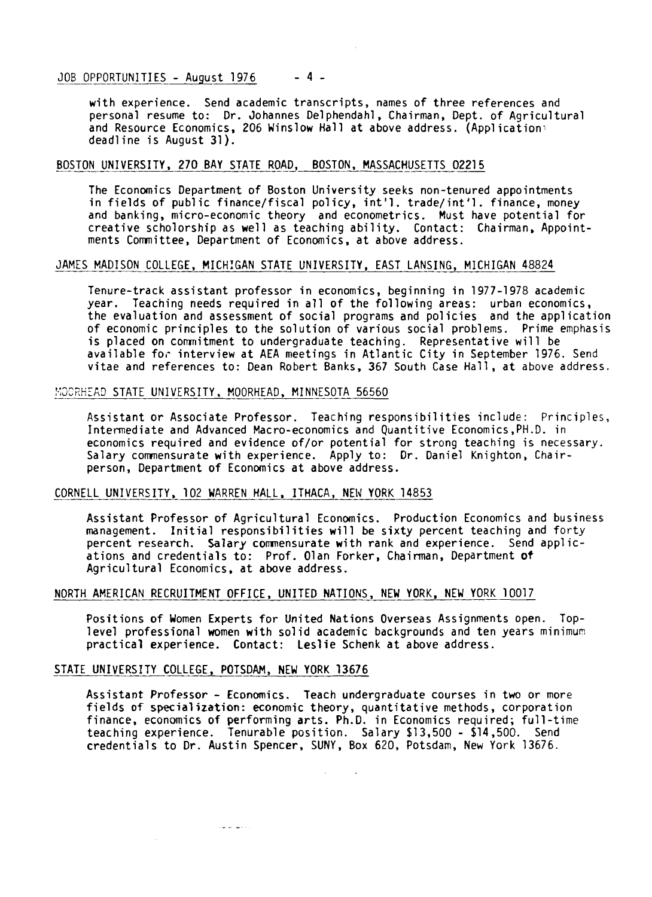# oubled by Depondant 1976 1976<br>1976 --- John Michael Standands<br>1976 --- John Michael Standands Australians<br>1989 -- John Michael Standands Andrew Michael Standands<br>1989 -- Sendands Arabs Andrew Michael Standands Anders

with experience. Send academic transcripts, names of three references and personal resume to: Dr. Johannes Del phendahl , Chairman, Dept. of Agricultural and Resource Economics, 206 Winslow Hall at above address. (Application: deadline is August 31).

#### BOSTON UNIVERSITY, 270 BAY STATE ROAD, BOSTON, MASSACHUSETTS 02215

The Economics Department of Boston University seeks non-tenured appointments in fields of public finance/fiscal policy, int'l. trade/int'l. finance, money and banking, micro-economic theory and econometrics. Must have potential for creative scholorship as well as teaching ability. Contact: Chairman, Appointments Comnittee, Department of Economics, at above address.

#### JAMES MADISON COLLEGE, MICHIGAN STATE UNIVERSITY, EAST LANSING, MICHIGAN 48824

Tenure-track assistant professor in economics, beginning in 1977-1978 academic year. Teaching needs required in all of the following areas: urban economics, the evaluation and assessment of social programs and policies and the application of economic principles to the solution of various social problems. Prime emphasis is placed on commitment to undergraduate teaching. Representative will be available for interview at AEA meetings in Atlantic City in September 1976. Send vitae and references to: Dean Robert Banks, 367 South Case Hall, at above address.

#### MOORHEAD STATE UNIVERSITY, MOORHEAD, MINNESOTA 56560

Assistant or Associate Professor. Teaching responsibilities include: Principles, Intermediate and Advanced Macro-economics and Quantitive Economics,PH.D. in economics required and evidence of/or potential for strong teaching is necessary. Salary comnensurate with experience. Apply to: Dr. Daniel Knighton, Chairperson, Department of Economics at above address.

#### CORNELL UNIVERSITY, 102 WARREN HALL, ITHACA, NEW YORK 14853

Assistant Professor of Agricultural Economics. Production Economics and business management. Initial responsibilities will be sixty percent teaching and forty percent research. Salary comnensurate with rank and experience. Send applications and credentials to: Prof. Olan Forker, Chairman, Department **of**  Agricultural Economics. at above address.

#### NORTH AMERICAN RECRUITMENT OFFICE, UNITED NATIONS, NEW YORK, NEW YORK 10017

Positions of Women Experts for United Nations Overseas Assignments open. Toplevel professional women with solid academic backgrounds and ten years minimum practical experience. Contact: Leslie Schenk at above address.

#### STATE UNIVERSITY COLLEGE, POTSDAM, NEW YORK 13676

والمناصبات

Assistant Professor - Economics. Teach undergraduate courses in two or more fields of specialization: economic theory, quantitative methods, corporation finance, economics of performing arts. Ph.D. in Economics required; full-time teaching experience. Tenurable position. Salary \$13,500 - \$14,500. Send credentials to Dr. Austin Spencer, SUNY, Box 620, Potsdam, New York 13676.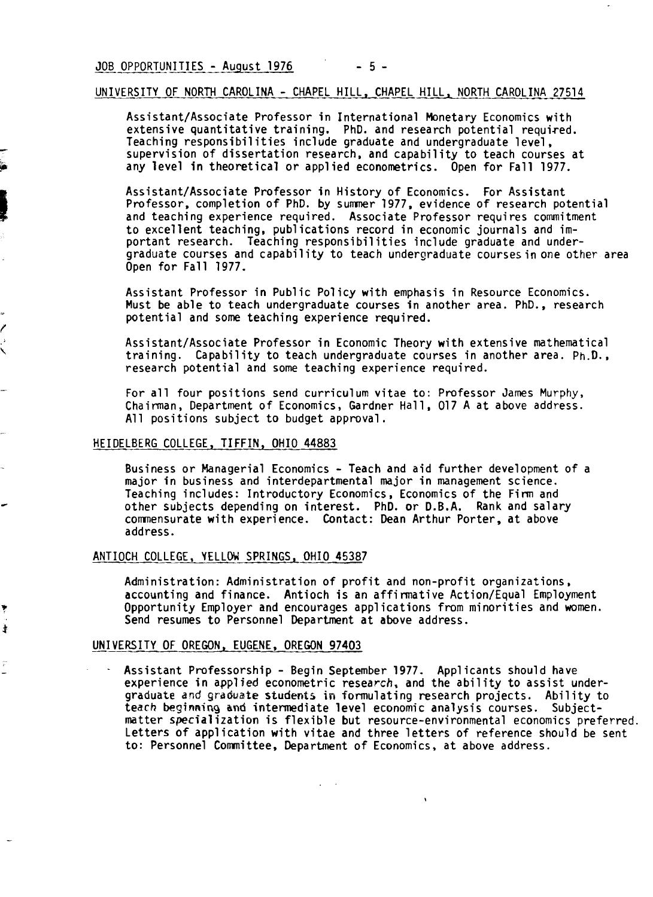#### UNIVERSITY OF NORTH CAROLINA - CHAPEL HILL, CHAPEL HILL, NORTH CAROLINA 27514

Assistant/Associate Professor in International Monetary Economics with extensive quantitative training. PhD. and research potential required. Teaching responsibilities include graduate and undergraduate level, supervision of dissertation research, and capability to teach courses at any level in theoretical or applied econometrics. Open for Fall 1977.

Assistant/Associate Professor in History of Economics. For Assistant Professor, completion of PhD. by sumner 1977, evidence of research potential and teaching experience required. Associate Professor requires commitment to excellent teaching, publications record in economic journals and important research. Teaching responsibilities include graduate and undergraduate courses and capability to teach undergraduate courses in one other area Open for Fall 1977.

Assistant Professor in Public Policy with emphasis in Resource Economics. Must be able to teach undergraduate courses in another area. PhD., research potential and some teaching experience required.

Assistant/Associate Professor in Economic Theory with extensive mathematical training. Capability to teach undergraduate courses in another area. Ph.D., research potential and some teaching experience required.

For all four positions send curriculum vitae to: Professor James Murphy, Chairman, Department of Economics, Gardner Hall, 017 A at above address. All positions subject to budget approval.

#### HEIDELBERG COLLEGE, TIFFIN, OHIO 44883

Business or Managerial Economics - Teach and aid further development of a major in business and interdepartmental major in management science. Teaching includes: Introductory Economics, Economics of the Firm and other subjects depending on interest. PhD. or D.B.A. Rank and salary comnensurate with experience. Contact: Dean Arthur Porter, at above address.

#### ANTIOCH COLLEGE, YELLOW SPRINGS, OHIO 45387

Administration: Administration of profit and non-profit organizations, accounting and finance. Antioch is an affi rmative Action/Equal Employment Opportunity Employer and encourages applications from minorities and women. Send resumes to Personnel Department at above address.

#### UNIVERSITY OF OREGON, EUGENE, OREGON 97403

 $\ddot{\ddag}$ 

Assistant Professorship - Begin September 1977. Applicants should have experience in applied econometric research, and the ability to assist undergraduate **and grdduate** students **in** formulating research projects. Ability to teach **beginning and** intermediate level economic analysis courses. Subjectmatter special ization is flexible but resource-environmental economics preferred. Letters of application with vitae and three letters of reference should be sent to: Personnel Comnittee, Department of Economics, at above address.

 $\mathbf{v}$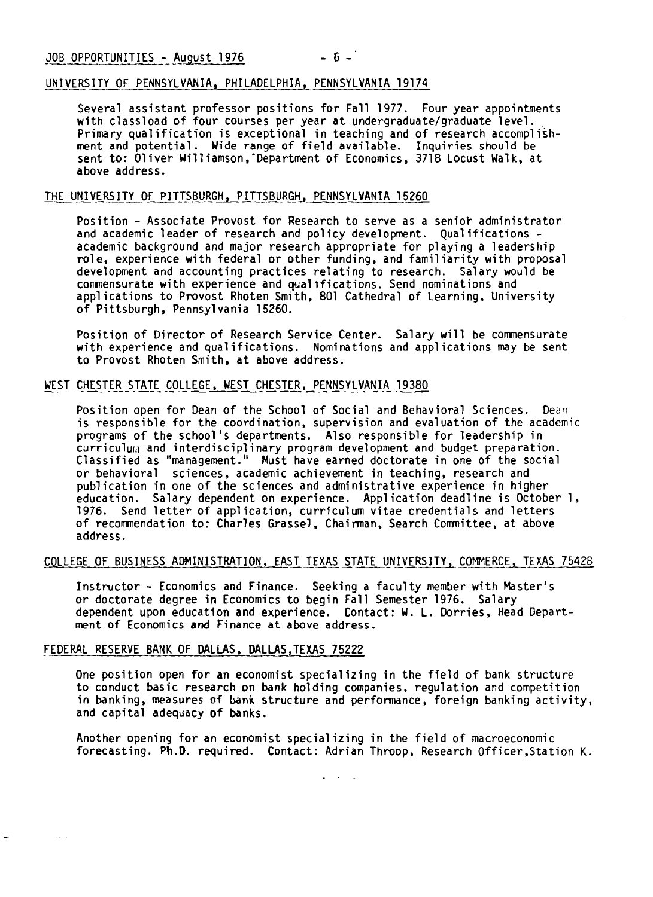#### UNIVERSITY OF PENNSYLVANIA, PHILADELPHIA, PENNSYLVANIA 19174

Several assistant professor positions for Fall 1977. Four year appointments with classload of four courses per year at undergraduate/graduate level. Primary qualification is exceptional in teaching and of research accomplishment and potential. Wide range of field available. Inquiries should be sent to: 01 iver Will iamson,'Department of Economics, 3718 Locust Walk, at above address.

#### THE UNIVERSITY OF PITTSBURGH, PITTSBURGH, PENNSYLVANIA 15260

Position - Associate Provost for Research to serve as a senior administrator and academic leader of research and policy development. Qua1 ifications academic background and major research appropriate for playing a leadership role, experience with federal or other funding, and familiarity with proposal development and accounting practices relating to research. Salary would be commensurate with experience and qualtfications. Send nominations and appl ications to Provost Rhoten Smith, 801 Cathedral of Learning, University of Pittsburgh, Pennsylvania 15260.

Position of Director of Research Service Center. Salary will be comnensurate with experience and qualifications. Nominations and applications may be sent to Provost Rhoten Smith, at above address.

#### WEST CHESTER STATE COLLEGE, WEST CHESTER, PENNSYLVANIA 19380

Position open for Dean of the School of Social and Behavioral Sciences. Dean is responsible for the coordination, supervision and evaluation of the academic programs of the school's departments. Also responsible for leadership in curriculum and interdisciplinary program development and budget preparation. Classified as "management." Must have earned doctorate in one of the social or behavioral sciences, academic achievement in teaching, research and publication in one of the sciences and administrative experience in higher education. Salary dependent on experience. Application deadline is October 1, 1976. Send letter of application, curriculum vitae credentials and letters of recommendation to: Charles Grassel, Chairman, Search Cornittee, at above address.

#### COLLEGE OF BUSINESS ADMINISTRATION, EAST TEXAS STATE UNIVERSITY, COMMERCE, TEXAS 75428

Instructor - Economics and Finance. Seeking a faculty member with Master's or doctorate degree in Economics to begin Fall Semester 1976. Salary dependent upon education and experience. Contact: W. L. Dorries, Head Department of Economics and Finance at above address.

#### FEDERAL RESERVE BANK OF DALLAS, DALLAS,TEXAS 75222

One position open for an economist specializing in the field of bank structure to conduct basic research on bank holding companies, regulation and competition in banking, measures of **bank** structure and performance, foreign banking activity, and capital adequacy of banks.

Another opening for an economist specializing in the field of macroeconomic forecasting. Ph.D. required. Contact: Adrian Throop, Research Officer,Station K.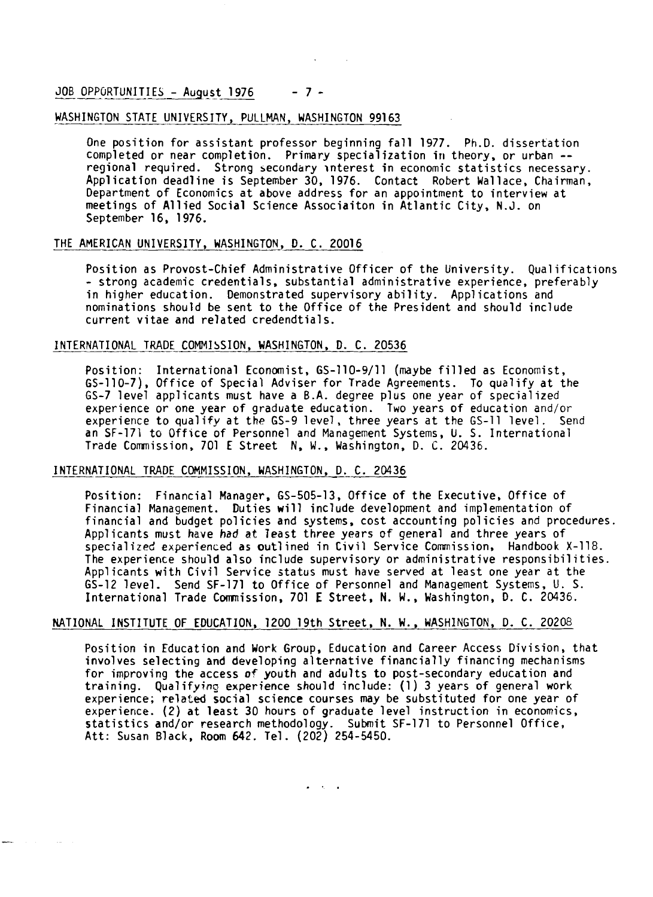JOB OPPORTUNITIES - August  $1976 - 7 -$ 

#### WASHINGTON STATE UNIVERSITY, PULLMAN, WASHINGTON 99163

One position for assistant professor beginning fall 1977. Ph.D. dissertation completed or near completion. Primary specialization in theory, or urban - regional required. Strong seconddry >nterest in economic statistics necessary. Application deadline is September 30, 1976. Contact Robert Wallace, Chairman, Department of Economics at above address for an appointment to interview at meetings of Allied Social Science Associaiton in Atlantic City, N.J. on September 16, 1976.

#### THE AMERICAN UNIVERSITY, WASHINGTON, D. C. 20016

Position as Provost-Chief Administrative Officer of the University. Qualifications - strong academic credentials, substantial administrative experience, preferably in higher education. Demonstrated supervisory ability. Applications and nominations should be sent to the Office of the President and should include current vitae and related credendtials.

#### INTERNATIONAL TRADE COMMISSION, WASHINGTON, D. C. 20536

Position: International Economist, GS-110-9/11 (maybe filled as Economist, GS-110-7), Office of Special Adviser for Trade Agreements. To qualify at the 65-7 level applicants must have a B.A. degree plus one year of specialized experience or one year of graduate education. Two years of education and/or experience to qualify at the GS-9 level, three years at the GS-11 level. Send an SF-171 to Office of Personnel and Management Systems, U. 5. International Trade Commission, 701 E Street N, W., Washington, D. C. 20436.

#### INTERNATIONAL TRADE COMMISSION, WASHINGTON, D. C. 20436

Position: Financial Manager, 65-505-13, Office of the Executive, Office of Financial Management. Duties will include development and implementation of financial and budget policies and systems, cost accounting policies and procedures. Applicants must have had at ?east three years of general and three years of specialized experienced as outlined in Civil Service Commission, Handbook X-118. The experience should also include supervisory or administrative responsibilities. Applicants with Civil Service status must have served at least one year at the 65-12 level. Send SF-171 to Office of Personnel and Management Systems, U. S. International Trade Comnission, 701 E Street, N. W., Washington, D. C. 20436.

#### NATIONAL INSTITUTE OF EDUCATION, 1200 19th Street, N. W., WASHINGTON, D. C. 20208

Position in Education and Work Group, Education and Career Access Division, that involves selecting and developing alternative financially financing mechanisms for improving the access of youth and adults to post-secondary education and training. Qualifying experience should include: (1) 3 years of general work experience; related social science courses may be substituted for one year of experience. (2) at least 30 hours of graduate level instruction in economics, statistics and/or research methodology. Submit SF-171 to Personnel Office, Att: Susan Black, Room 642. Tel. (202) 254-5450.

 $\sigma_{\rm{eff}}=0.01$  and  $\sigma_{\rm{eff}}=0.01$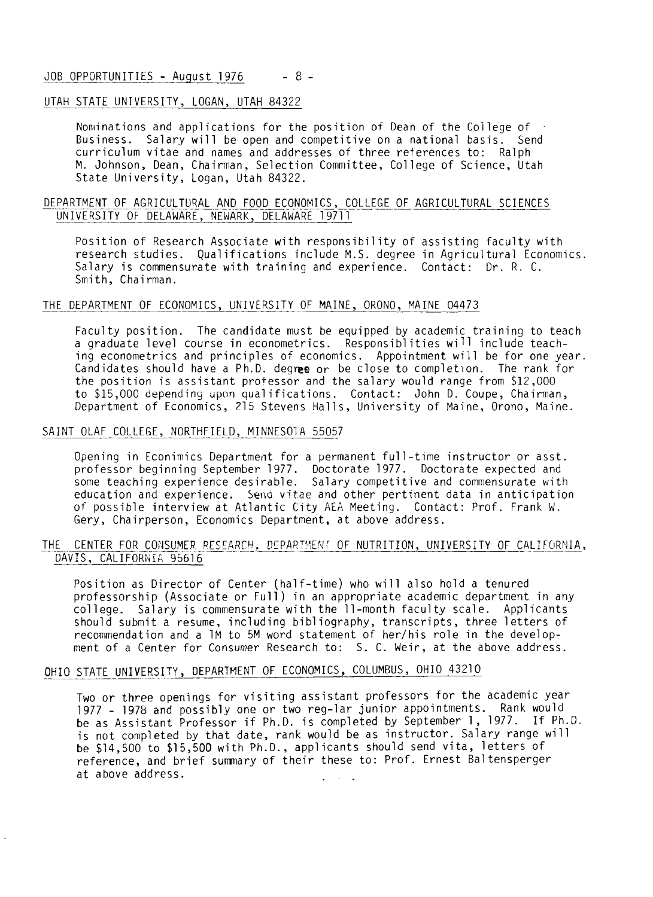#### JOB OPPORTUNITIES - August 1976 - 8 -

#### UTAH STATE UNIVERSITY, LOGAN, UTAH 84322

Nominations and applications for the position of Dean of the College of Business. Salary will be open and competitive on a national basis. Send curriculum vitae and names and addresses of three references to: Ralph M. Johnson, Dean, Chairman, Selection Committee, College of Science, Utah State University, Logan, Utah 84322.

#### DEPARTMENT OF AGRICULTURAL AND FOOD ECONOMICS, COLLEGE OF AGRICULTURAL SCIENCES UNIVERSITY OF DELAWARE, NEWARK, DELAWARE 19711

Position of Research Associate with responsibility of assisting faculty with research studies. Qualifications include M.S. degree in Agricultural Economics. Salary is commensurate with training and experience. Contact: Dr. R. C. Smith, Chairman.

#### THE DEPARTMENT OF ECONOMICS, UNIVERSITY OF MAINE, ORONO, MAINE 04473

Faculty position. The candidate must be equipped by academic training to teach a graduate level course in econometrics. Responsiblities will include teaching econometrics and principles of economics. Appointment will be for one year. Candidates should have a Ph.D. degree or be close to completion. The rank for the position is assistant professor and the salary would range from \$12,000 to \$15,000 depending upon qualifications. Contact: John D. Coupe, Chairman, Department of Economics, 215 Stevens Halls, University of Maine, Orono, Maine.

### ا<br>SAINT SAINT OLAF COLLEGE, NORTHFIELD, MINNESOTA 55057

Opening in Econimics Department for a permanent full-time instructor or asst. professor beginning September 1977. Doctorate 1977. Doctorate expected and some teaching experience desirable. Salary competitive and commensurate with education and experience. Send vitae and other pertinent data in anticipation of possible interview at Atlantic City **kiA** Meeting. Contact: Prof. Frank W. Gery, Chairperson, Economics Department, at above address.

## OF POSSIBLE INTERVIEW AT ATTANTIC CITY ARE MEETING. CONTACT: Prof. Frank W.<br>Gery, Chairperson, Economics Department, at above address.<br>THE CENTER FOR CONSUMER RESEARCH, DEPARTMENT OF NUTRITION, UNIVERSITY OF CALIFORNIA,<br>DA uery, Unairperson, Economi<br>E CENTER FOR CONSUMER RESEAR<br>DAVIS, CALIFORNIA 95616

Position as Director of Center (half-time) who will also hold a tenured professorship (Associate or Full) in an appropriate academic department in any college. Salary is commensurate with the 11-month faculty scale. Applicants should submit a resume, including bib1 iography, transcripts, three letters of recommendation and a 1M to 5M word statement of her/his role in the development of a Center for Consumer Research to: S. C. Weir, at the above address.

#### OHIO STATE UNIVERSITY, DEPARTMENT OF ECONOMICS, COLUMBUS, OHIO 43210

Two or three openings for visiting assistant professors for the academic year 1977 - 1978 and possibly one or two reg-lar junior appointments. Rank would be as Assistant Professor if Ph.D. is completed by September 1, 1977. If Ph.D. is not completed by that date, rank would be as instructor. Salary range will be \$14,500 to \$15,500 with Ph.D., applicants should send vita, letters of reference, and brief sumnary of their these to: Prof. Ernest Baltensperger at above address.